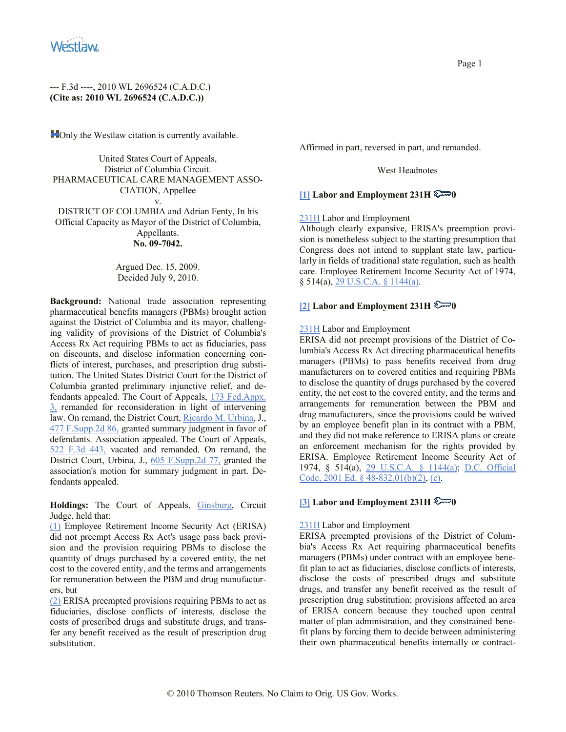

**Not** Only the Westlaw citation is currently available.

United States Court of Appeals, District of Columbia Circuit. PHARMACEUTICAL CARE MANAGEMENT ASSO-CIATION, Appellee v. DISTRICT OF COLUMBIA and Adrian Fenty, In his Official Capacity as Mayor of the District of Columbia, Appellants.

### **No. 09-7042.**

Argued Dec. 15, 2009. Decided July 9, 2010.

**Background:** National trade association representing pharmaceutical benefits managers (PBMs) brought action against the District of Columbia and its mayor, challenging validity of provisions of the District of Columbia's Access Rx Act requiring PBMs to act as fiduciaries, pass on discounts, and disclose information concerning conflicts of interest, purchases, and prescription drug substitution. The United States District Court for the District of Columbia granted preliminary injunctive relief, and defendants appealed. The Court of Appeals, 173 Fed.Appx. 3, remanded for reconsideration in light of intervening law. On remand, the District Court, Ricardo M. Urbina, J., 477 F.Supp.2d 86, granted summary judgment in favor of defendants. Association appealed. The Court of Appeals, 522 F.3d 443, vacated and remanded. On remand, the District Court, Urbina, J., 605 F.Supp.2d 77, granted the association's motion for summary judgment in part. Defendants appealed.

**Holdings:** The Court of Appeals, Ginsburg, Circuit Judge, held that:

(1) Employee Retirement Income Security Act (ERISA) did not preempt Access Rx Act's usage pass back provision and the provision requiring PBMs to disclose the quantity of drugs purchased by a covered entity, the net cost to the covered entity, and the terms and arrangements for remuneration between the PBM and drug manufacturers, but

(2) ERISA preempted provisions requiring PBMs to act as fiduciaries, disclose conflicts of interests, disclose the costs of prescribed drugs and substitute drugs, and transfer any benefit received as the result of prescription drug substitution.

Affirmed in part, reversed in part, and remanded.

#### West Headnotes

## **[1] Labor and Employment 231H**  $\epsilon \rightarrow 0$

### 231H Labor and Employment

Although clearly expansive, ERISA's preemption provision is nonetheless subject to the starting presumption that Congress does not intend to supplant state law, particularly in fields of traditional state regulation, such as health care. Employee Retirement Income Security Act of 1974, § 514(a), 29 U.S.C.A. § 1144(a).

# **[2] Labor and Employment 231H**  $\mathbb{C}\rightarrow 0$

### 231H Labor and Employment

ERISA did not preempt provisions of the District of Columbia's Access Rx Act directing pharmaceutical benefits managers (PBMs) to pass benefits received from drug manufacturers on to covered entities and requiring PBMs to disclose the quantity of drugs purchased by the covered entity, the net cost to the covered entity, and the terms and arrangements for remuneration between the PBM and drug manufacturers, since the provisions could be waived by an employee benefit plan in its contract with a PBM, and they did not make reference to ERISA plans or create an enforcement mechanism for the rights provided by ERISA. Employee Retirement Income Security Act of 1974, § 514(a), 29 U.S.C.A. § 1144(a); D.C. Official Code, 2001 Ed. § 48-832.01(b)(2), (c).

### **[3] Labor and Employment 231H**  $\epsilon \rightarrow 0$

#### 231H Labor and Employment

ERISA preempted provisions of the District of Columbia's Access Rx Act requiring pharmaceutical benefits managers (PBMs) under contract with an employee benefit plan to act as fiduciaries, disclose conflicts of interests, disclose the costs of prescribed drugs and substitute drugs, and transfer any benefit received as the result of prescription drug substitution; provisions affected an area of ERISA concern because they touched upon central matter of plan administration, and they constrained benefit plans by forcing them to decide between administering their own pharmaceutical benefits internally or contract-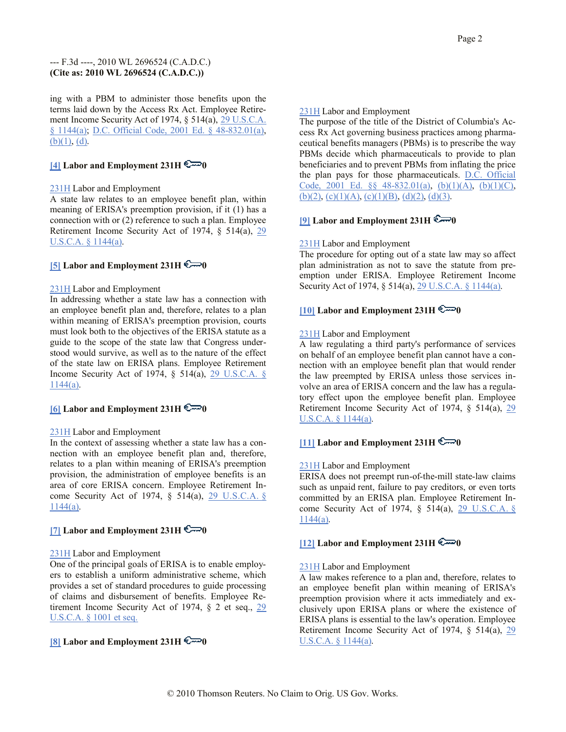ing with a PBM to administer those benefits upon the terms laid down by the Access Rx Act. Employee Retirement Income Security Act of 1974, § 514(a), 29 U.S.C.A. § 1144(a); D.C. Official Code, 2001 Ed. § 48-832.01(a),  $(b)(1), (d)$ .

# **[4] Labor and Employment 231H 0**

## 231H Labor and Employment

A state law relates to an employee benefit plan, within meaning of ERISA's preemption provision, if it (1) has a connection with or (2) reference to such a plan. Employee Retirement Income Security Act of 1974, § 514(a), 29 U.S.C.A. § 1144(a).

# **[5] Labor and Employment 231H 0**

## 231H Labor and Employment

In addressing whether a state law has a connection with an employee benefit plan and, therefore, relates to a plan within meaning of ERISA's preemption provision, courts must look both to the objectives of the ERISA statute as a guide to the scope of the state law that Congress understood would survive, as well as to the nature of the effect of the state law on ERISA plans. Employee Retirement Income Security Act of 1974, § 514(a), 29 U.S.C.A. § 1144(a).

# **[6] Labor and Employment 231H 0**

## 231H Labor and Employment

In the context of assessing whether a state law has a connection with an employee benefit plan and, therefore, relates to a plan within meaning of ERISA's preemption provision, the administration of employee benefits is an area of core ERISA concern. Employee Retirement Income Security Act of 1974, § 514(a), 29 U.S.C.A. § 1144(a).

# **[7] Labor and Employment 231H**  $\mathbb{C} \rightarrow 0$

## 231H Labor and Employment

One of the principal goals of ERISA is to enable employers to establish a uniform administrative scheme, which provides a set of standard procedures to guide processing of claims and disbursement of benefits. Employee Retirement Income Security Act of 1974, § 2 et seq., 29 U.S.C.A. § 1001 et seq.

# **[8] Labor and Employment 231H**  $\epsilon = 0$

# 231H Labor and Employment

The purpose of the title of the District of Columbia's Access Rx Act governing business practices among pharmaceutical benefits managers (PBMs) is to prescribe the way PBMs decide which pharmaceuticals to provide to plan beneficiaries and to prevent PBMs from inflating the price the plan pays for those pharmaceuticals. D.C. Official Code, 2001 Ed.  $\S$  48-832.01(a), (b)(1)(A), (b)(1)(C),  $(b)(2)$ ,  $(c)(1)(A)$ ,  $(c)(1)(B)$ ,  $(d)(2)$ ,  $(d)(3)$ .

# **[9] Labor and Employment 231H 0**

# 231H Labor and Employment

The procedure for opting out of a state law may so affect plan administration as not to save the statute from preemption under ERISA. Employee Retirement Income Security Act of 1974, § 514(a), 29 U.S.C.A. § 1144(a).

# **[10]** Labor and Employment  $231H \in \mathbb{R}$

## 231H Labor and Employment

A law regulating a third party's performance of services on behalf of an employee benefit plan cannot have a connection with an employee benefit plan that would render the law preempted by ERISA unless those services involve an area of ERISA concern and the law has a regulatory effect upon the employee benefit plan. Employee Retirement Income Security Act of 1974, § 514(a), 29 U.S.C.A. § 1144(a).

# **[11] Labor and Employment 231H**  $\epsilon \rightarrow 0$

## 231H Labor and Employment

ERISA does not preempt run-of-the-mill state-law claims such as unpaid rent, failure to pay creditors, or even torts committed by an ERISA plan. Employee Retirement Income Security Act of 1974, § 514(a), 29 U.S.C.A. § 1144(a).

## **[12] Labor and Employment 231H**  $\epsilon = 0$

## 231H Labor and Employment

A law makes reference to a plan and, therefore, relates to an employee benefit plan within meaning of ERISA's preemption provision where it acts immediately and exclusively upon ERISA plans or where the existence of ERISA plans is essential to the law's operation. Employee Retirement Income Security Act of 1974, § 514(a), 29 U.S.C.A. § 1144(a).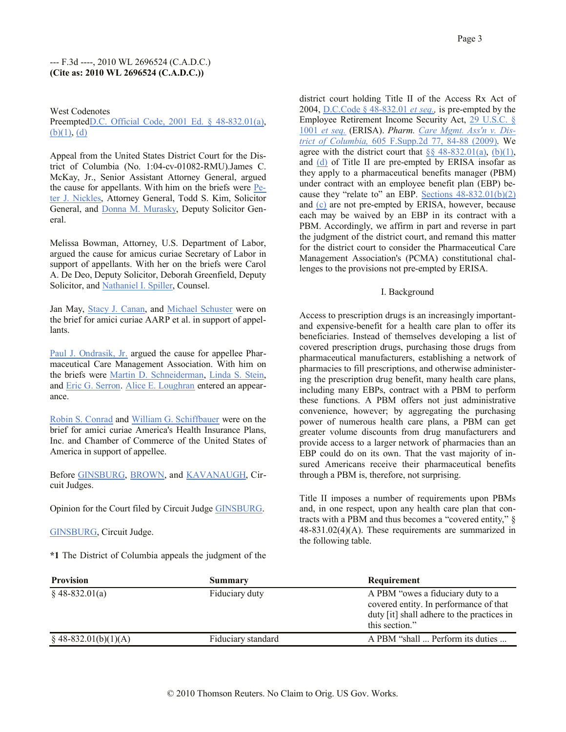West Codenotes

PreemptedD.C. Official Code, 2001 Ed. § 48-832.01(a),  $(b)(1), (d)$ 

Appeal from the United States District Court for the District of Columbia (No. 1:04-cv-01082-RMU).James C. McKay, Jr., Senior Assistant Attorney General, argued the cause for appellants. With him on the briefs were Peter J. Nickles, Attorney General, Todd S. Kim, Solicitor General, and Donna M. Murasky, Deputy Solicitor General.

Melissa Bowman, Attorney, U.S. Department of Labor, argued the cause for amicus curiae Secretary of Labor in support of appellants. With her on the briefs were Carol A. De Deo, Deputy Solicitor, Deborah Greenfield, Deputy Solicitor, and Nathaniel I. Spiller, Counsel.

Jan May, Stacy J. Canan, and Michael Schuster were on the brief for amici curiae AARP et al. in support of appellants.

Paul J. Ondrasik, Jr. argued the cause for appellee Pharmaceutical Care Management Association. With him on the briefs were Martin D. Schneiderman, Linda S. Stein, and Eric G. Serron. Alice E. Loughran entered an appearance.

Robin S. Conrad and William G. Schiffbauer were on the brief for amici curiae America's Health Insurance Plans, Inc. and Chamber of Commerce of the United States of America in support of appellee.

Before GINSBURG, BROWN, and KAVANAUGH, Circuit Judges.

Opinion for the Court filed by Circuit Judge GINSBURG.

GINSBURG, Circuit Judge.

**\*1** The District of Columbia appeals the judgment of the

district court holding Title II of the Access Rx Act of 2004, D.C.Code § 48-832.01 *et seq.,* is pre-empted by the Employee Retirement Income Security Act, 29 U.S.C. § 1001 *et seq.* (ERISA). *Pharm. Care Mgmt. Ass'n v. District of Columbia,* 605 F.Supp.2d 77, 84-88 (2009). We agree with the district court that  $\S § 48-832.01(a)$ ,  $(b)(1)$ , and (d) of Title II are pre-empted by ERISA insofar as they apply to a pharmaceutical benefits manager (PBM) under contract with an employee benefit plan (EBP) because they "relate to" an EBP. Sections  $48-832.01(b)(2)$ and (c) are not pre-empted by ERISA, however, because each may be waived by an EBP in its contract with a PBM. Accordingly, we affirm in part and reverse in part the judgment of the district court, and remand this matter for the district court to consider the Pharmaceutical Care Management Association's (PCMA) constitutional challenges to the provisions not pre-empted by ERISA.

## I. Background

Access to prescription drugs is an increasingly importantand expensive-benefit for a health care plan to offer its beneficiaries. Instead of themselves developing a list of covered prescription drugs, purchasing those drugs from pharmaceutical manufacturers, establishing a network of pharmacies to fill prescriptions, and otherwise administering the prescription drug benefit, many health care plans, including many EBPs, contract with a PBM to perform these functions. A PBM offers not just administrative convenience, however; by aggregating the purchasing power of numerous health care plans, a PBM can get greater volume discounts from drug manufacturers and provide access to a larger network of pharmacies than an EBP could do on its own. That the vast majority of insured Americans receive their pharmaceutical benefits through a PBM is, therefore, not surprising.

Title II imposes a number of requirements upon PBMs and, in one respect, upon any health care plan that contracts with a PBM and thus becomes a "covered entity," § 48-831.02(4)(A). These requirements are summarized in the following table.

| <b>Provision</b>        | Summary            | Requirement                                                                                                                                 |
|-------------------------|--------------------|---------------------------------------------------------------------------------------------------------------------------------------------|
| $§$ 48-832.01(a)        | Fiduciary duty     | A PBM "owes a fiduciary duty to a<br>covered entity. In performance of that<br>duty [it] shall adhere to the practices in<br>this section." |
| $\S$ 48-832.01(b)(1)(A) | Fiduciary standard | A PBM "shall  Perform its duties                                                                                                            |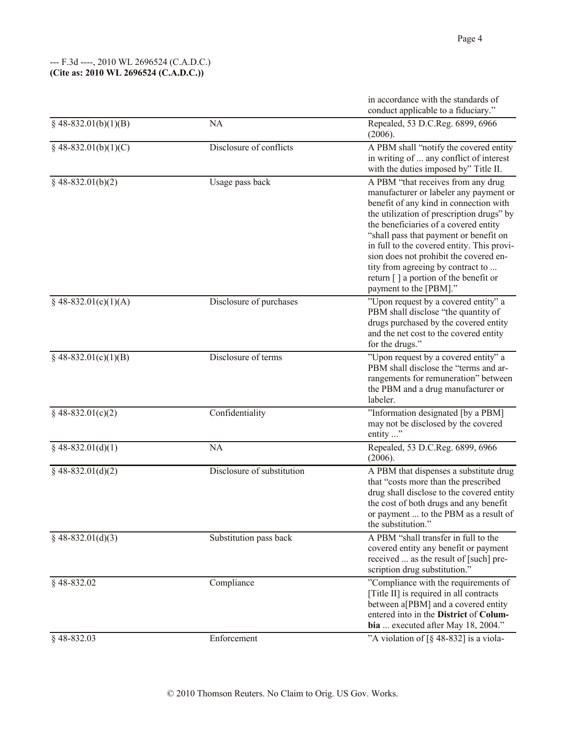|                              |                            | in accordance with the standards of<br>conduct applicable to a fiduciary."                                                                                                                                                                                                                                                                                                                                                                             |
|------------------------------|----------------------------|--------------------------------------------------------------------------------------------------------------------------------------------------------------------------------------------------------------------------------------------------------------------------------------------------------------------------------------------------------------------------------------------------------------------------------------------------------|
| $§$ 48-832.01(b)(1)(B)       | <b>NA</b>                  | Repealed, 53 D.C.Reg. 6899, 6966<br>(2006).                                                                                                                                                                                                                                                                                                                                                                                                            |
| $§$ 48-832.01(b)(1)(C)       | Disclosure of conflicts    | A PBM shall "notify the covered entity<br>in writing of  any conflict of interest<br>with the duties imposed by" Title II.                                                                                                                                                                                                                                                                                                                             |
| $§$ 48-832.01(b)(2)          | Usage pass back            | A PBM "that receives from any drug<br>manufacturer or labeler any payment or<br>benefit of any kind in connection with<br>the utilization of prescription drugs" by<br>the beneficiaries of a covered entity<br>"shall pass that payment or benefit on<br>in full to the covered entity. This provi-<br>sion does not prohibit the covered en-<br>tity from agreeing by contract to<br>return [] a portion of the benefit or<br>payment to the [PBM]." |
| $\sqrt{848-832.01(c)(1)(A)}$ | Disclosure of purchases    | "Upon request by a covered entity" a<br>PBM shall disclose "the quantity of<br>drugs purchased by the covered entity<br>and the net cost to the covered entity<br>for the drugs."                                                                                                                                                                                                                                                                      |
| $§$ 48-832.01(c)(1)(B)       | Disclosure of terms        | "Upon request by a covered entity" a<br>PBM shall disclose the "terms and ar-<br>rangements for remuneration" between<br>the PBM and a drug manufacturer or<br>labeler.                                                                                                                                                                                                                                                                                |
| $§$ 48-832.01(c)(2)          | Confidentiality            | "Information designated [by a PBM]<br>may not be disclosed by the covered<br>entity "                                                                                                                                                                                                                                                                                                                                                                  |
| $§$ 48-832.01(d)(1)          | <b>NA</b>                  | Repealed, 53 D.C.Reg. 6899, 6966<br>(2006).                                                                                                                                                                                                                                                                                                                                                                                                            |
| $§$ 48-832.01(d)(2)          | Disclosure of substitution | A PBM that dispenses a substitute drug<br>that "costs more than the prescribed<br>drug shall disclose to the covered entity<br>the cost of both drugs and any benefit<br>or payment  to the PBM as a result of<br>the substitution."                                                                                                                                                                                                                   |
| $§$ 48-832.01(d)(3)          | Substitution pass back     | A PBM "shall transfer in full to the<br>covered entity any benefit or payment<br>received  as the result of [such] pre-<br>scription drug substitution."                                                                                                                                                                                                                                                                                               |
| $§$ 48-832.02                | Compliance                 | "Compliance with the requirements of<br>[Title II] is required in all contracts<br>between a[PBM] and a covered entity<br>entered into in the District of Colum-<br>bia  executed after May 18, 2004."                                                                                                                                                                                                                                                 |
| $§$ 48-832.03                | Enforcement                | "A violation of $\lceil \frac{6}{9} \cdot 48 - 832 \rceil$ is a viola-                                                                                                                                                                                                                                                                                                                                                                                 |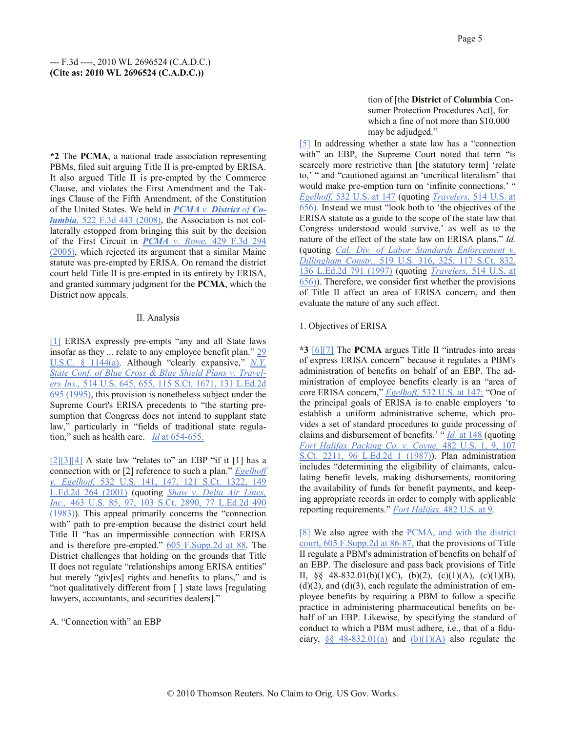**\*2** The **PCMA**, a national trade association representing PBMs, filed suit arguing Title II is pre-empted by ERISA. It also argued Title II is pre-empted by the Commerce Clause, and violates the First Amendment and the Takings Clause of the Fifth Amendment, of the Constitution of the United States. We held in *PCMA v. District of Columbia,* 522 F.3d 443 (2008), the Association is not collaterally estopped from bringing this suit by the decision of the First Circuit in *PCMA v. Rowe,* 429 F.3d 294 (2005), which rejected its argument that a similar Maine statute was pre-empted by ERISA. On remand the district court held Title II is pre-empted in its entirety by ERISA, and granted summary judgment for the **PCMA**, which the District now appeals.

### II. Analysis

[1] ERISA expressly pre-empts "any and all State laws insofar as they ... relate to any employee benefit plan." 29 U.S.C. § 1144(a). Although "clearly expansive," *N.Y. State Conf. of Blue Cross & Blue Shield Plans v. Travelers Ins.,* 514 U.S. 645, 655, 115 S.Ct. 1671, 131 L.Ed.2d 695 (1995), this provision is nonetheless subject under the Supreme Court's ERISA precedents to "the starting presumption that Congress does not intend to supplant state law," particularly in "fields of traditional state regulation," such as health care. *Id* at 654-655.

 $[2][3][4]$  A state law "relates to" an EBP "if it [1] has a connection with or [2] reference to such a plan." *Egelhoff v. Egelhojf,* 532 U.S. 141, 147, 121 S.Ct. 1322, 149 L.Ed.2d 264 (2001) (quoting *Shaw v. Delta Air Lines, Inc.,* 463 U.S. 85, 97, 103 S.Ct. 2890, 77 L.Ed.2d 490 (1983)). This appeal primarily concerns the "connection with" path to pre-emption because the district court held Title II "has an impermissible connection with ERISA and is therefore pre-empted." 605 F.Supp.2d at 88. The District challenges that holding on the grounds that Title II does not regulate "relationships among ERISA entities" but merely "giv[es] rights and benefits to plans," and is "not qualitatively different from [ ] state laws [regulating lawyers, accountants, and securities dealers]."

A. "Connection with" an EBP

tion of [the **District** of **Columbia** Consumer Protection Procedures Act], for which a fine of not more than \$10,000 may be adjudged."

[5] In addressing whether a state law has a "connection with" an EBP, the Supreme Court noted that term "is scarcely more restrictive than [the statutory term] 'relate to,' " and "cautioned against an 'uncritical literalism' that would make pre-emption turn on 'infinite connections.' " *Egelhoff,* 532 U.S. at 147 (quoting *Travelers,* 514 U.S. at 656). Instead we must "look both to 'the objectives of the ERISA statute as a guide to the scope of the state law that Congress understood would survive,' as well as to the nature of the effect of the state law on ERISA plans." *Id.* (quoting *Cal. Div. of Labor Standards Enforcement v. Dillingham Constr.,* 519 U.S. 316, 325, 117 S.Ct. 832, 136 L.Ed.2d 791 (1997) (quoting *Travelers,* 514 U.S. at 656)). Therefore, we consider first whether the provisions of Title II affect an area of ERISA concern, and then evaluate the nature of any such effect.

### 1. Objectives of ERISA

**\*3** [6][7] The **PCMA** argues Title II "intrudes into areas of express ERISA concern" because it regulates a PBM's administration of benefits on behalf of an EBP. The administration of employee benefits clearly is an "area of core ERISA concern," *Egelhoff,* 532 U.S. at 147: "One of the principal goals of ERISA is to enable employers 'to establish a uniform administrative scheme, which provides a set of standard procedures to guide processing of claims and disbursement of benefits.' " *Id.* at 148 (quoting *Fort Halifax Packing Co. v. Coyne,* 482 U.S. 1, 9, 107 S.Ct. 2211, 96 L.Ed.2d 1 (1987)). Plan administration includes "determining the eligibility of claimants, calculating benefit levels, making disbursements, monitoring the availability of funds for benefit payments, and keeping appropriate records in order to comply with applicable reporting requirements." *Fort Halifax,* 482 U.S. at 9.

[8] We also agree with the PCMA, and with the district court, 605 F.Supp.2d at 86-87, that the provisions of Title II regulate a PBM's administration of benefits on behalf of an EBP. The disclosure and pass back provisions of Title II, §§ 48-832.01(b)(1)(C), (b)(2), (c)(1)(A), (c)(1)(B),  $(d)(2)$ , and  $(d)(3)$ , each regulate the administration of employee benefits by requiring a PBM to follow a specific practice in administering pharmaceutical benefits on behalf of an EBP. Likewise, by specifying the standard of conduct to which a PBM must adhere, i.e., that of a fiduciary,  $\S$ § 48-832.01(a) and (b)(1)(A) also regulate the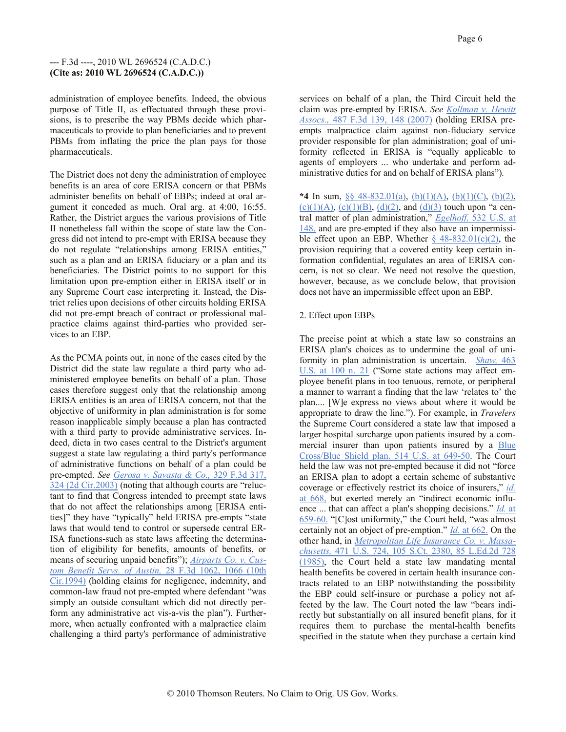administration of employee benefits. Indeed, the obvious purpose of Title II, as effectuated through these provisions, is to prescribe the way PBMs decide which pharmaceuticals to provide to plan beneficiaries and to prevent PBMs from inflating the price the plan pays for those pharmaceuticals.

The District does not deny the administration of employee benefits is an area of core ERISA concern or that PBMs administer benefits on behalf of EBPs; indeed at oral argument it conceded as much. Oral arg. at 4:00, 16:55. Rather, the District argues the various provisions of Title II nonetheless fall within the scope of state law the Congress did not intend to pre-empt with ERISA because they do not regulate "relationships among ERISA entities," such as a plan and an ERISA fiduciary or a plan and its beneficiaries. The District points to no support for this limitation upon pre-emption either in ERISA itself or in any Supreme Court case interpreting it. Instead, the District relies upon decisions of other circuits holding ERISA did not pre-empt breach of contract or professional malpractice claims against third-parties who provided services to an EBP.

As the PCMA points out, in none of the cases cited by the District did the state law regulate a third party who administered employee benefits on behalf of a plan. Those cases therefore suggest only that the relationship among ERISA entities is an area of ERISA concern, not that the objective of uniformity in plan administration is for some reason inapplicable simply because a plan has contracted with a third party to provide administrative services. Indeed, dicta in two cases central to the District's argument suggest a state law regulating a third party's performance of administrative functions on behalf of a plan could be pre-empted. *See Gerosa v. Savasta & Co.,* 329 F.3d 317, 324 (2d Cir.2003) (noting that although courts are "reluctant to find that Congress intended to preempt state laws that do not affect the relationships among [ERISA entities]" they have "typically" held ERISA pre-empts "state laws that would tend to control or supersede central ER-ISA functions-such as state laws affecting the determination of eligibility for benefits, amounts of benefits, or means of securing unpaid benefits"); *Airparts Co. v. Custom Benefit Servs. of Austin,* 28 F.3d 1062, 1066 (10th Cir.1994) (holding claims for negligence, indemnity, and common-law fraud not pre-empted where defendant "was simply an outside consultant which did not directly perform any administrative act vis-a-vis the plan"). Furthermore, when actually confronted with a malpractice claim challenging a third party's performance of administrative

services on behalf of a plan, the Third Circuit held the claim was pre-empted by ERISA. *See Kollman v. Hewitt Assocs.,* 487 F.3d 139, 148 (2007) (holding ERISA preempts malpractice claim against non-fiduciary service provider responsible for plan administration; goal of uniformity reflected in ERISA is "equally applicable to agents of employers ... who undertake and perform administrative duties for and on behalf of ERISA plans").

**\*4** In sum, §§ 48-832.01(a), (b)(1)(A), (b)(1)(C), (b)(2), (c)(1)(A), (c)(1)(B), (d)(2), and (d)(3) touch upon "a central matter of plan administration," *Egelhoff,* 532 U.S. at 148, and are pre-empted if they also have an impermissible effect upon an EBP. Whether  $\frac{6}{9}$  48-832.01(c)(2), the provision requiring that a covered entity keep certain information confidential, regulates an area of ERISA concern, is not so clear. We need not resolve the question, however, because, as we conclude below, that provision does not have an impermissible effect upon an EBP.

# 2. Effect upon EBPs

The precise point at which a state law so constrains an ERISA plan's choices as to undermine the goal of uniformity in plan administration is uncertain. *Shaw,* 463 U.S. at 100 n. 21 ("Some state actions may affect employee benefit plans in too tenuous, remote, or peripheral a manner to warrant a finding that the law 'relates to' the plan.... [W]e express no views about where it would be appropriate to draw the line."). For example, in *Travelers* the Supreme Court considered a state law that imposed a larger hospital surcharge upon patients insured by a commercial insurer than upon patients insured by a Blue Cross/Blue Shield plan. 514 U.S. at 649-50. The Court held the law was not pre-empted because it did not "force an ERISA plan to adopt a certain scheme of substantive coverage or effectively restrict its choice of insurers," *id.* at 668, but exerted merely an "indirect economic influence ... that can affect a plan's shopping decisions." *Id.* at 659-60. "[C]ost uniformity," the Court held, "was almost certainly not an object of pre-emption." *Id.* at 662. On the other hand, in *Metropolitan Life Insurance Co. v. Massachusetts,* 471 U.S. 724, 105 S.Ct. 2380, 85 L.Ed.2d 728 (1985), the Court held a state law mandating mental health benefits be covered in certain health insurance contracts related to an EBP notwithstanding the possibility the EBP could self-insure or purchase a policy not affected by the law. The Court noted the law "bears indirectly but substantially on all insured benefit plans, for it requires them to purchase the mental-health benefits specified in the statute when they purchase a certain kind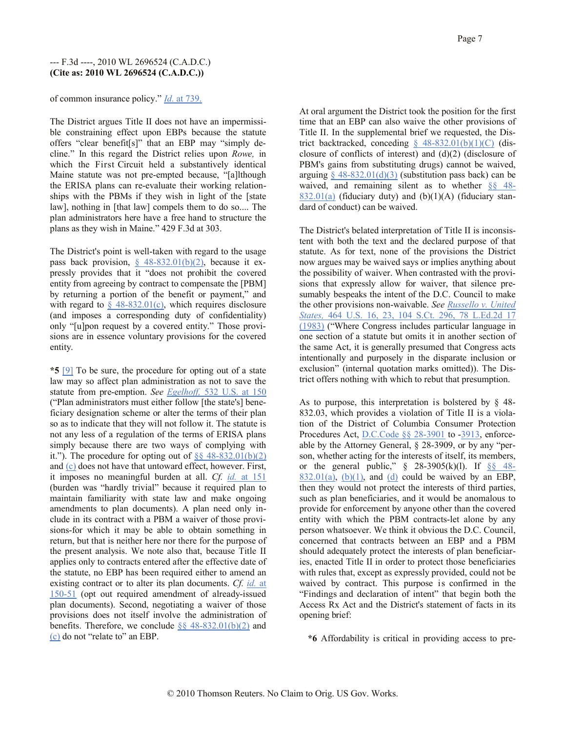of common insurance policy." *Id.* at 739.

The District argues Title II does not have an impermissible constraining effect upon EBPs because the statute offers "clear benefit[s]" that an EBP may "simply decline." In this regard the District relies upon *Rowe,* in which the First Circuit held a substantively identical Maine statute was not pre-empted because, "[a]lthough the ERISA plans can re-evaluate their working relationships with the PBMs if they wish in light of the [state law], nothing in [that law] compels them to do so.... The plan administrators here have a free hand to structure the plans as they wish in Maine." 429 F.3d at 303.

The District's point is well-taken with regard to the usage pass back provision,  $\S$  48-832.01(b)(2), because it expressly provides that it "does not prohibit the covered entity from agreeing by contract to compensate the [PBM] by returning a portion of the benefit or payment," and with regard to  $\S$  48-832.01(c), which requires disclosure (and imposes a corresponding duty of confidentiality) only "[u]pon request by a covered entity." Those provisions are in essence voluntary provisions for the covered entity.

**\*5** [9] To be sure, the procedure for opting out of a state law may so affect plan administration as not to save the statute from pre-emption. *See Egelhoff,* 532 U.S. at 150 ("Plan administrators must either follow [the state's] beneficiary designation scheme or alter the terms of their plan so as to indicate that they will not follow it. The statute is not any less of a regulation of the terms of ERISA plans simply because there are two ways of complying with it."). The procedure for opting out of  $\S$ § 48-832.01(b)(2) and (c) does not have that untoward effect, however. First, it imposes no meaningful burden at all. *Cf. id.* at 151 (burden was "hardly trivial" because it required plan to maintain familiarity with state law and make ongoing amendments to plan documents). A plan need only include in its contract with a PBM a waiver of those provisions-for which it may be able to obtain something in return, but that is neither here nor there for the purpose of the present analysis. We note also that, because Title II applies only to contracts entered after the effective date of the statute, no EBP has been required either to amend an existing contract or to alter its plan documents. *Cf. id.* at 150-51 (opt out required amendment of already-issued plan documents). Second, negotiating a waiver of those provisions does not itself involve the administration of benefits. Therefore, we conclude  $\S$ § 48-832.01(b)(2) and (c) do not "relate to" an EBP.

At oral argument the District took the position for the first time that an EBP can also waive the other provisions of Title II. In the supplemental brief we requested, the District backtracked, conceding  $\S$  48-832.01(b)(1)(C) (disclosure of conflicts of interest) and (d)(2) (disclosure of PBM's gains from substituting drugs) cannot be waived, arguing  $\S$  48-832.01(d)(3) (substitution pass back) can be waived, and remaining silent as to whether §§ 48- 832.01(a) (fiduciary duty) and  $(b)(1)(A)$  (fiduciary standard of conduct) can be waived.

The District's belated interpretation of Title II is inconsistent with both the text and the declared purpose of that statute. As for text, none of the provisions the District now argues may be waived says or implies anything about the possibility of waiver. When contrasted with the provisions that expressly allow for waiver, that silence presumably bespeaks the intent of the D.C. Council to make the other provisions non-waivable. *See Russello v. United States,* 464 U.S. 16, 23, 104 S.Ct. 296, 78 L.Ed.2d 17 (1983) ("Where Congress includes particular language in one section of a statute but omits it in another section of the same Act, it is generally presumed that Congress acts intentionally and purposely in the disparate inclusion or exclusion" (internal quotation marks omitted)). The District offers nothing with which to rebut that presumption.

As to purpose, this interpretation is bolstered by  $\S$  48-832.03, which provides a violation of Title II is a violation of the District of Columbia Consumer Protection Procedures Act, D.C.Code §§ 28-3901 to -3913, enforceable by the Attorney General, § 28-3909, or by any "person, whether acting for the interests of itself, its members, or the general public,"  $\S$  28-3905(k)(l). If  $\S$ § 48- $832.01(a)$ ,  $(b)(1)$ , and  $(d)$  could be waived by an EBP, then they would not protect the interests of third parties, such as plan beneficiaries, and it would be anomalous to provide for enforcement by anyone other than the covered entity with which the PBM contracts-let alone by any person whatsoever. We think it obvious the D.C. Council, concerned that contracts between an EBP and a PBM should adequately protect the interests of plan beneficiaries, enacted Title II in order to protect those beneficiaries with rules that, except as expressly provided, could not be waived by contract. This purpose is confirmed in the "Findings and declaration of intent" that begin both the Access Rx Act and the District's statement of facts in its opening brief:

**\*6** Affordability is critical in providing access to pre-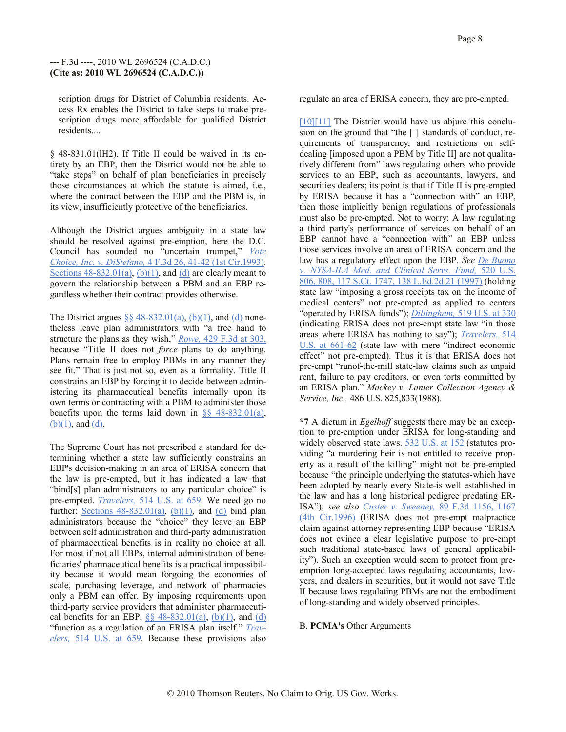scription drugs for District of Columbia residents. Access Rx enables the District to take steps to make prescription drugs more affordable for qualified District residents....

§ 48-831.01(lH2). If Title II could be waived in its entirety by an EBP, then the District would not be able to "take steps" on behalf of plan beneficiaries in precisely those circumstances at which the statute is aimed, i.e., where the contract between the EBP and the PBM is, in its view, insufficiently protective of the beneficiaries.

Although the District argues ambiguity in a state law should be resolved against pre-emption, here the D.C. Council has sounded no "uncertain trumpet," *Vote Choice, Inc. v. DiStefano,* 4 F.3d 26, 41-42 (1st Cir.1993). Sections  $48-832.01(a)$ , (b)(1), and (d) are clearly meant to govern the relationship between a PBM and an EBP regardless whether their contract provides otherwise.

The District argues  $\S$ § 48-832.01(a), (b)(1), and (d) nonetheless leave plan administrators with "a free hand to structure the plans as they wish," *Rowe,* 429 F.3d at 303, because "Title II does not *force* plans to do anything. Plans remain free to employ PBMs in any manner they see fit." That is just not so, even as a formality. Title II constrains an EBP by forcing it to decide between administering its pharmaceutical benefits internally upon its own terms or contracting with a PBM to administer those benefits upon the terms laid down in  $\frac{8}{9}$  48-832.01(a), (b)(1), and (d).

The Supreme Court has not prescribed a standard for determining whether a state law sufficiently constrains an EBP's decision-making in an area of ERISA concern that the law is pre-empted, but it has indicated a law that "bind[s] plan administrators to any particular choice" is pre-empted. *Travelers,* 514 U.S. at 659. We need go no further: Sections  $48-832.01(a)$ ,  $(b)(1)$ , and  $(d)$  bind plan administrators because the "choice" they leave an EBP between self administration and third-party administration of pharmaceutical benefits is in reality no choice at all. For most if not all EBPs, internal administration of beneficiaries' pharmaceutical benefits is a practical impossibility because it would mean forgoing the economies of scale, purchasing leverage, and network of pharmacies only a PBM can offer. By imposing requirements upon third-party service providers that administer pharmaceutical benefits for an EBP,  $\frac{8}{8}$  48-832.01(a), (b)(1), and (d) "function as a regulation of an ERISA plan itself." *Travelers,* 514 U.S. at 659. Because these provisions also

regulate an area of ERISA concern, they are pre-empted.

 $[10][11]$  The District would have us abjure this conclusion on the ground that "the [ ] standards of conduct, requirements of transparency, and restrictions on selfdealing [imposed upon a PBM by Title II] are not qualitatively different from" laws regulating others who provide services to an EBP, such as accountants, lawyers, and securities dealers; its point is that if Title II is pre-empted by ERISA because it has a "connection with" an EBP, then those implicitly benign regulations of professionals must also be pre-empted. Not to worry: A law regulating a third party's performance of services on behalf of an EBP cannot have a "connection with" an EBP unless those services involve an area of ERISA concern and the law has a regulatory effect upon the EBP. *See De Buono v. NYSA-ILA Med. and Clinical Servs. Fund,* 520 U.S. 806, 808, 117 S.Ct. 1747, 138 L.Ed.2d 21 (1997) (holding state law "imposing a gross receipts tax on the income of medical centers" not pre-empted as applied to centers "operated by ERISA funds"); *Dillingham,* 519 U.S. at 330 (indicating ERISA does not pre-empt state law "in those areas where ERISA has nothing to say"); *Travelers,* 514 U.S. at 661-62 (state law with mere "indirect economic effect" not pre-empted). Thus it is that ERISA does not pre-empt "runof-the-mill state-law claims such as unpaid rent, failure to pay creditors, or even torts committed by an ERISA plan." *Mackey v. Lanier Collection Agency & Service, Inc.,* 486 U.S. 825,833(1988).

**\*7** A dictum in *Egelhoff* suggests there may be an exception to pre-emption under ERISA for long-standing and widely observed state laws. 532 U.S. at 152 (statutes providing "a murdering heir is not entitled to receive property as a result of the killing" might not be pre-empted because "the principle underlying the statutes-which have been adopted by nearly every State-is well established in the law and has a long historical pedigree predating ER-ISA"); *see also Custer v. Sweeney,* 89 F.3d 1156, 1167 (4th Cir.1996) (ERISA does not pre-empt malpractice claim against attorney representing EBP because "ERISA does not evince a clear legislative purpose to pre-empt such traditional state-based laws of general applicability"). Such an exception would seem to protect from preemption long-accepted laws regulating accountants, lawyers, and dealers in securities, but it would not save Title II because laws regulating PBMs are not the embodiment of long-standing and widely observed principles.

B. **PCMA's** Other Arguments